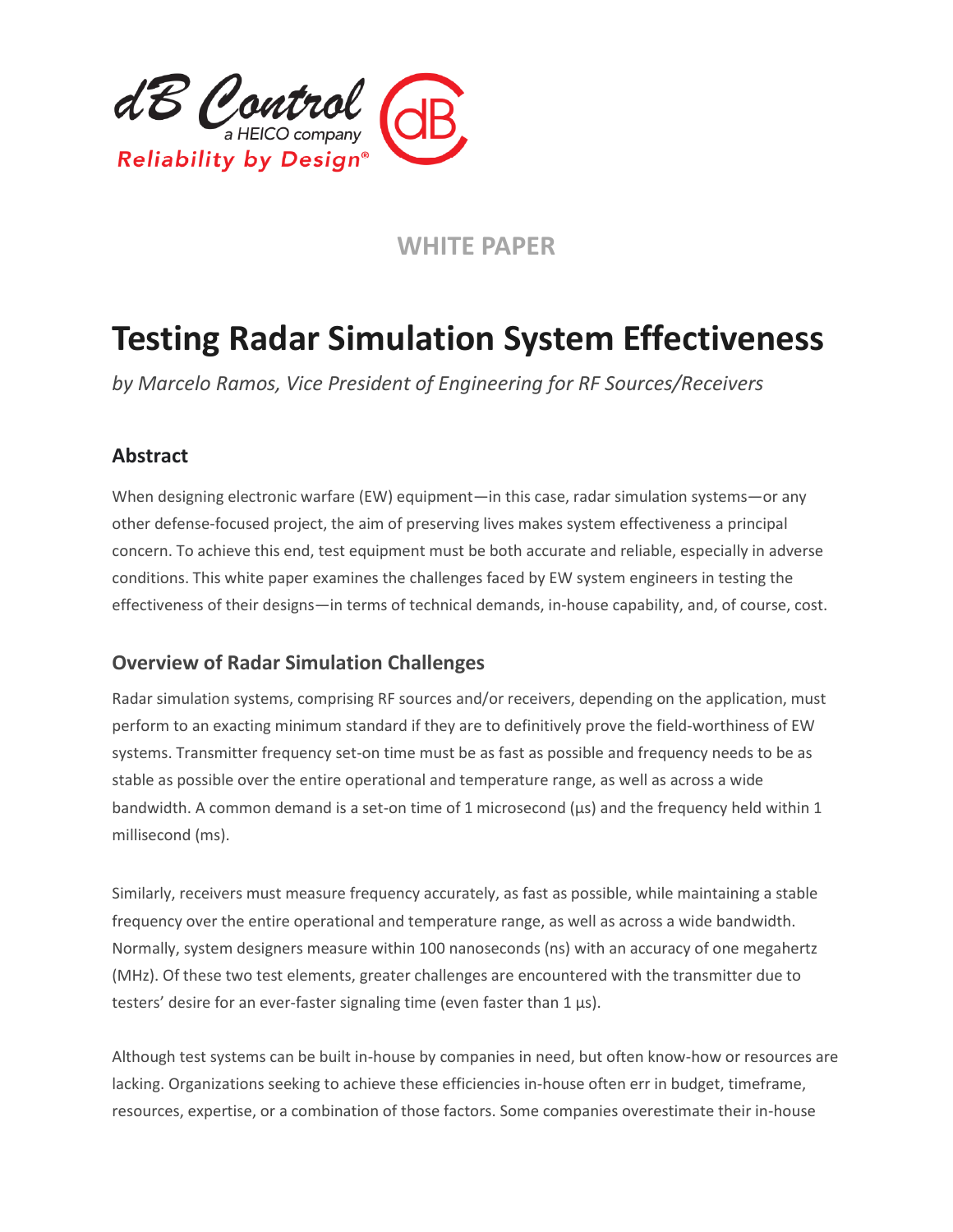

# **WHITE PAPER**

# **Testing Radar Simulation System Effectiveness**

*by Marcelo Ramos, Vice President of Engineering for RF Sources/Receivers*

## **Abstract**

When designing electronic warfare (EW) equipment—in this case, radar simulation systems—or any other defense-focused project, the aim of preserving lives makes system effectiveness a principal concern. To achieve this end, test equipment must be both accurate and reliable, especially in adverse conditions. This white paper examines the challenges faced by EW system engineers in testing the effectiveness of their designs—in terms of technical demands, in-house capability, and, of course, cost.

## **Overview of Radar Simulation Challenges**

Radar simulation systems, comprising RF sources and/or receivers, depending on the application, must perform to an exacting minimum standard if they are to definitively prove the field-worthiness of EW systems. Transmitter frequency set-on time must be as fast as possible and frequency needs to be as stable as possible over the entire operational and temperature range, as well as across a wide bandwidth. A common demand is a set-on time of 1 microsecond ( $\mu s$ ) and the frequency held within 1 millisecond (ms).

Similarly, receivers must measure frequency accurately, as fast as possible, while maintaining a stable frequency over the entire operational and temperature range, as well as across a wide bandwidth. Normally, system designers measure within 100 nanoseconds (ns) with an accuracy of one megahertz (MHz). Of these two test elements, greater challenges are encountered with the transmitter due to testers' desire for an ever-faster signaling time (even faster than 1 μs).

Although test systems can be built in-house by companies in need, but often know-how or resources are lacking. Organizations seeking to achieve these efficiencies in-house often err in budget, timeframe, resources, expertise, or a combination of those factors. Some companies overestimate their in-house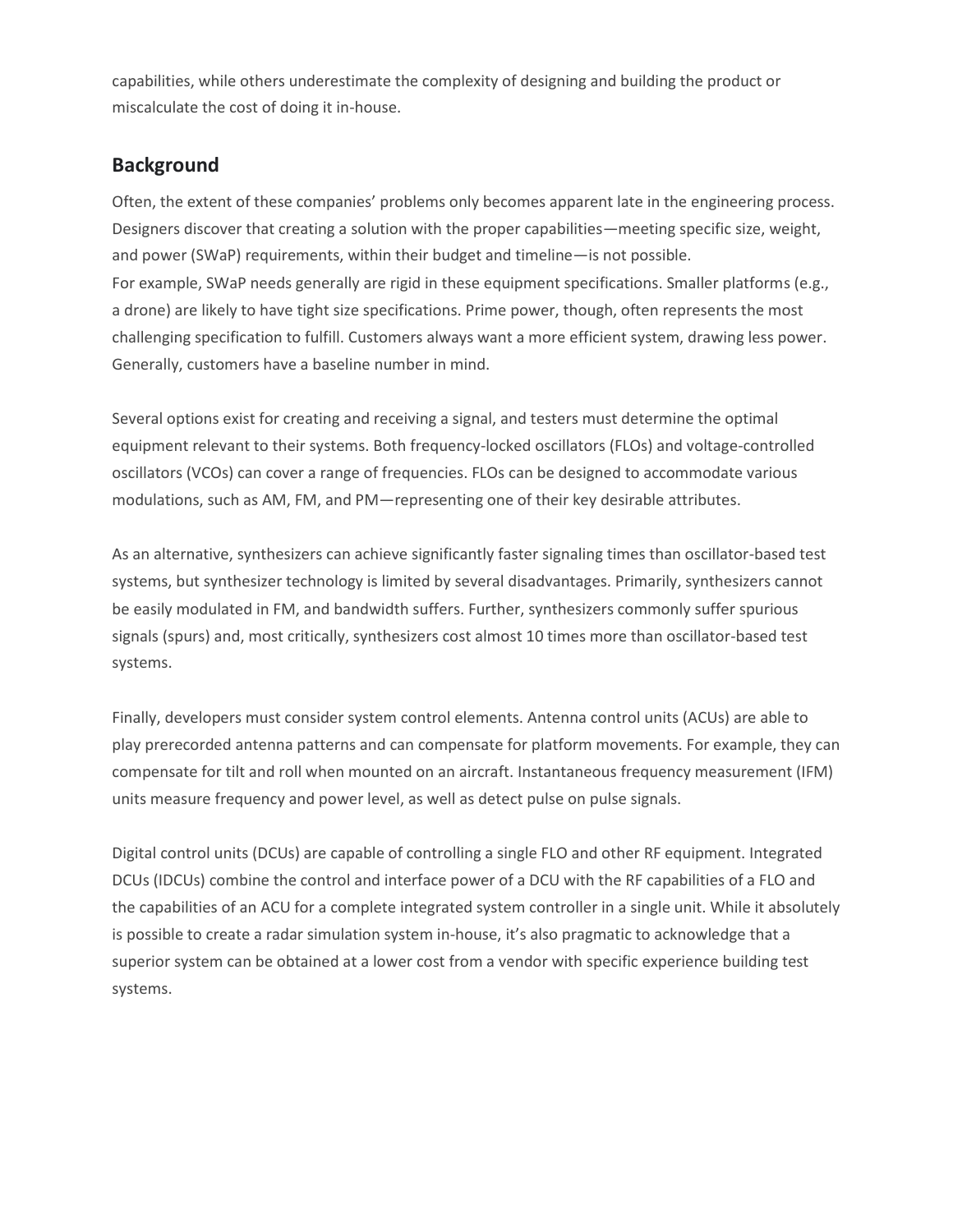capabilities, while others underestimate the complexity of designing and building the product or miscalculate the cost of doing it in-house.

#### **Background**

Often, the extent of these companies' problems only becomes apparent late in the engineering process. Designers discover that creating a solution with the proper capabilities—meeting specific size, weight, and power (SWaP) requirements, within their budget and timeline—is not possible. For example, SWaP needs generally are rigid in these equipment specifications. Smaller platforms (e.g., a drone) are likely to have tight size specifications. Prime power, though, often represents the most challenging specification to fulfill. Customers always want a more efficient system, drawing less power. Generally, customers have a baseline number in mind.

Several options exist for creating and receiving a signal, and testers must determine the optimal equipment relevant to their systems. Both frequency-locked oscillators (FLOs) and voltage-controlled oscillators (VCOs) can cover a range of frequencies. FLOs can be designed to accommodate various modulations, such as AM, FM, and PM—representing one of their key desirable attributes.

As an alternative, synthesizers can achieve significantly faster signaling times than oscillator-based test systems, but synthesizer technology is limited by several disadvantages. Primarily, synthesizers cannot be easily modulated in FM, and bandwidth suffers. Further, synthesizers commonly suffer spurious signals (spurs) and, most critically, synthesizers cost almost 10 times more than oscillator-based test systems.

Finally, developers must consider system control elements. Antenna control units (ACUs) are able to play prerecorded antenna patterns and can compensate for platform movements. For example, they can compensate for tilt and roll when mounted on an aircraft. Instantaneous frequency measurement (IFM) units measure frequency and power level, as well as detect pulse on pulse signals.

Digital control units (DCUs) are capable of controlling a single FLO and other RF equipment. Integrated DCUs (IDCUs) combine the control and interface power of a DCU with the RF capabilities of a FLO and the capabilities of an ACU for a complete integrated system controller in a single unit. While it absolutely is possible to create a radar simulation system in-house, it's also pragmatic to acknowledge that a superior system can be obtained at a lower cost from a vendor with specific experience building test systems.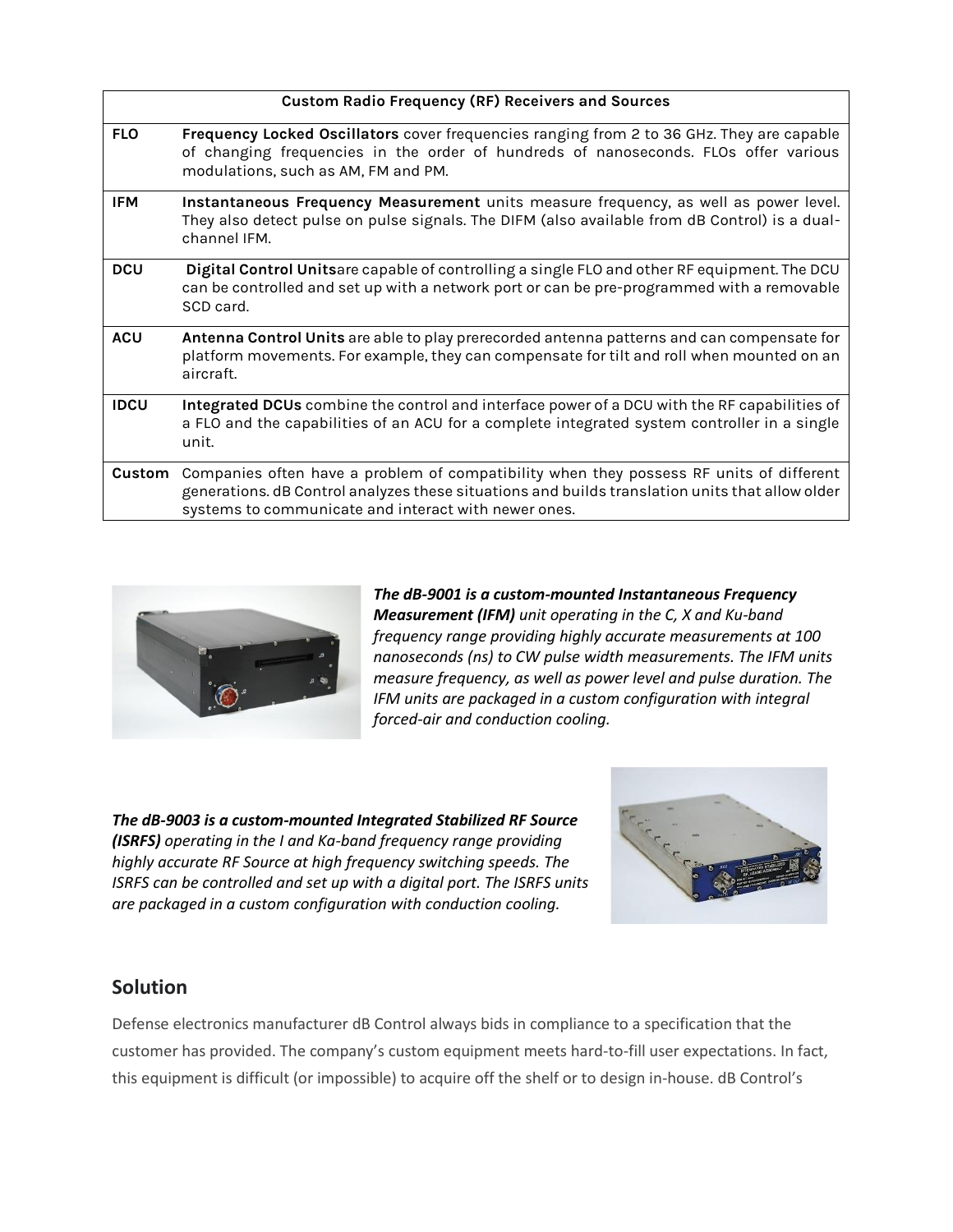| <b>FLO</b><br>modulations, such as AM, FM and PM.<br><b>IFM</b><br>channel IFM.<br><b>DCU</b><br>SCD card.<br><b>ACU</b><br>aircraft.<br><b>IDCU</b><br>unit.<br>Custom | <b>Custom Radio Frequency (RF) Receivers and Sources</b>                                                                                                                                                                                           |
|-------------------------------------------------------------------------------------------------------------------------------------------------------------------------|----------------------------------------------------------------------------------------------------------------------------------------------------------------------------------------------------------------------------------------------------|
|                                                                                                                                                                         | Frequency Locked Oscillators cover frequencies ranging from 2 to 36 GHz. They are capable<br>of changing frequencies in the order of hundreds of nanoseconds. FLOs offer various                                                                   |
|                                                                                                                                                                         | Instantaneous Frequency Measurement units measure frequency, as well as power level.<br>They also detect pulse on pulse signals. The DIFM (also available from dB Control) is a dual-                                                              |
|                                                                                                                                                                         | Digital Control Unitsare capable of controlling a single FLO and other RF equipment. The DCU<br>can be controlled and set up with a network port or can be pre-programmed with a removable                                                         |
|                                                                                                                                                                         | Antenna Control Units are able to play prerecorded antenna patterns and can compensate for<br>platform movements. For example, they can compensate for tilt and roll when mounted on an                                                            |
|                                                                                                                                                                         | Integrated DCUs combine the control and interface power of a DCU with the RF capabilities of<br>a FLO and the capabilities of an ACU for a complete integrated system controller in a single                                                       |
|                                                                                                                                                                         | Companies often have a problem of compatibility when they possess RF units of different<br>generations. dB Control analyzes these situations and builds translation units that allow older<br>systems to communicate and interact with newer ones. |



*The dB-9001 is a custom-mounted Instantaneous Frequency Measurement (IFM) unit operating in the C, X and Ku-band frequency range providing highly accurate measurements at 100 nanoseconds (ns) to CW pulse width measurements. The IFM units measure frequency, as well as power level and pulse duration. The IFM units are packaged in a custom configuration with integral forced-air and conduction cooling.*

*The dB-9003 is a custom-mounted Integrated Stabilized RF Source (ISRFS) operating in the I and Ka-band frequency range providing highly accurate RF Source at high frequency switching speeds. The ISRFS can be controlled and set up with a digital port. The ISRFS units are packaged in a custom configuration with conduction cooling.*



#### **Solution**

Defense electronics manufacturer dB Control always bids in compliance to a specification that the customer has provided. The company's custom equipment meets hard-to-fill user expectations. In fact, this equipment is difficult (or impossible) to acquire off the shelf or to design in-house. dB Control's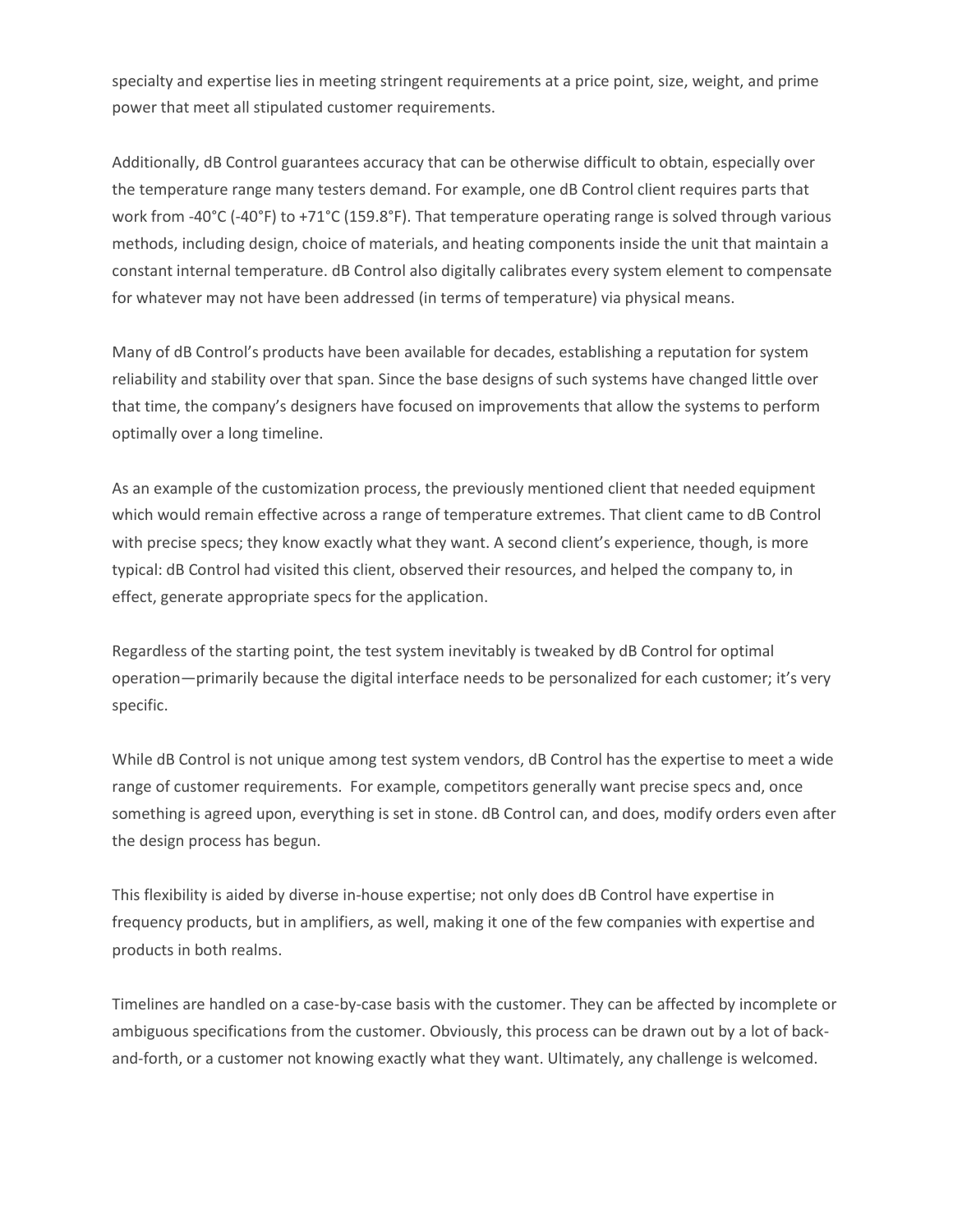specialty and expertise lies in meeting stringent requirements at a price point, size, weight, and prime power that meet all stipulated customer requirements.

Additionally, dB Control guarantees accuracy that can be otherwise difficult to obtain, especially over the temperature range many testers demand. For example, one dB Control client requires parts that work from -40°C (-40°F) to +71°C (159.8°F). That temperature operating range is solved through various methods, including design, choice of materials, and heating components inside the unit that maintain a constant internal temperature. dB Control also digitally calibrates every system element to compensate for whatever may not have been addressed (in terms of temperature) via physical means.

Many of dB Control's products have been available for decades, establishing a reputation for system reliability and stability over that span. Since the base designs of such systems have changed little over that time, the company's designers have focused on improvements that allow the systems to perform optimally over a long timeline.

As an example of the customization process, the previously mentioned client that needed equipment which would remain effective across a range of temperature extremes. That client came to dB Control with precise specs; they know exactly what they want. A second client's experience, though, is more typical: dB Control had visited this client, observed their resources, and helped the company to, in effect, generate appropriate specs for the application.

Regardless of the starting point, the test system inevitably is tweaked by dB Control for optimal operation—primarily because the digital interface needs to be personalized for each customer; it's very specific.

While dB Control is not unique among test system vendors, dB Control has the expertise to meet a wide range of customer requirements. For example, competitors generally want precise specs and, once something is agreed upon, everything is set in stone. dB Control can, and does, modify orders even after the design process has begun.

This flexibility is aided by diverse in-house expertise; not only does dB Control have expertise in frequency products, but in amplifiers, as well, making it one of the few companies with expertise and products in both realms.

Timelines are handled on a case-by-case basis with the customer. They can be affected by incomplete or ambiguous specifications from the customer. Obviously, this process can be drawn out by a lot of backand-forth, or a customer not knowing exactly what they want. Ultimately, any challenge is welcomed.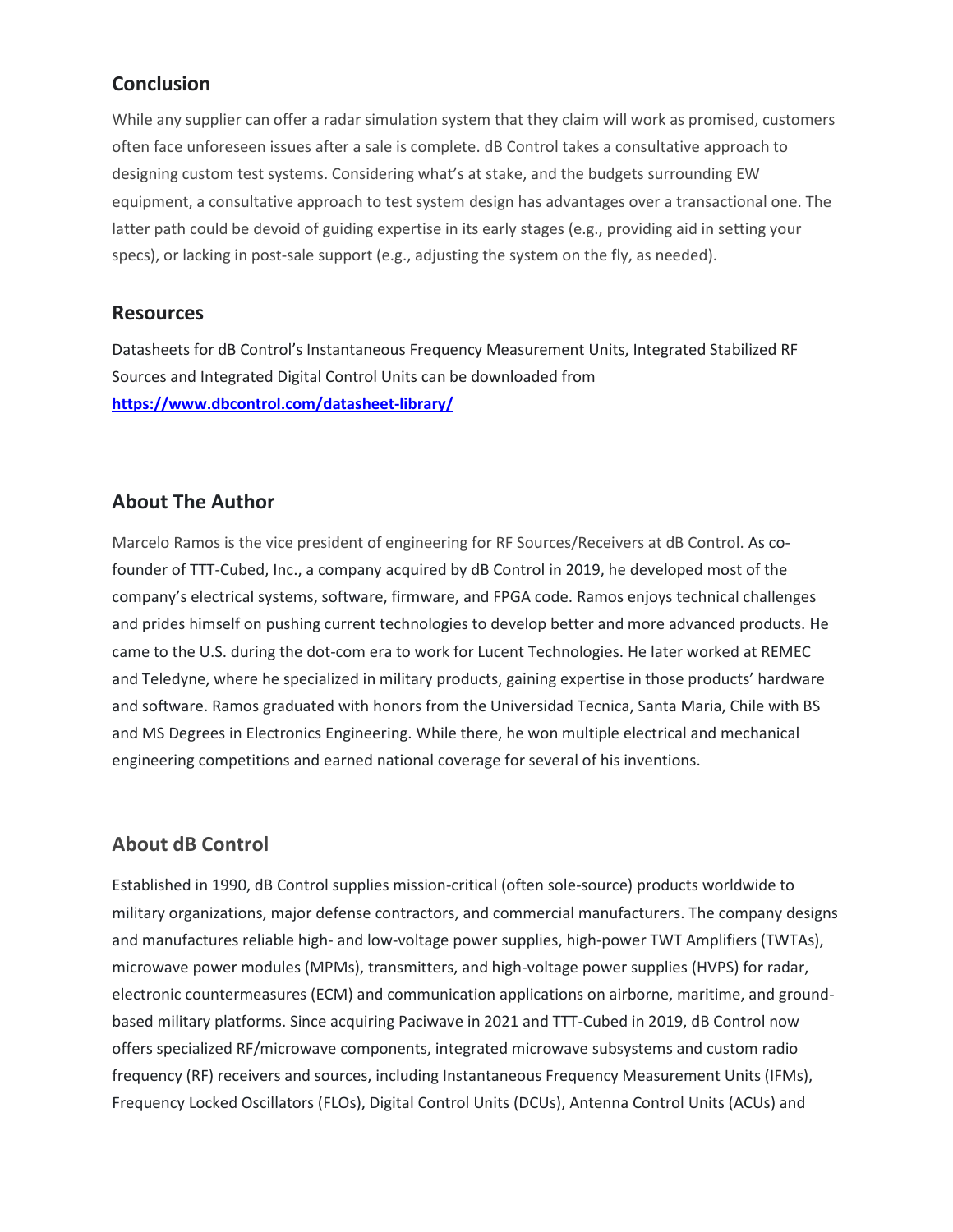#### **Conclusion**

While any supplier can offer a radar simulation system that they claim will work as promised, customers often face unforeseen issues after a sale is complete. dB Control takes a consultative approach to designing custom test systems. Considering what's at stake, and the budgets surrounding EW equipment, a consultative approach to test system design has advantages over a transactional one. The latter path could be devoid of guiding expertise in its early stages (e.g., providing aid in setting your specs), or lacking in post-sale support (e.g., adjusting the system on the fly, as needed).

#### **Resources**

Datasheets for dB Control's Instantaneous Frequency Measurement Units, Integrated Stabilized RF Sources and Integrated Digital Control Units can be downloaded from **<https://www.dbcontrol.com/datasheet-library/>**

#### **About The Author**

Marcelo Ramos is the vice president of engineering for RF Sources/Receivers at dB Control. As cofounder of TTT-Cubed, Inc., a company acquired by dB Control in 2019, he developed most of the company's electrical systems, software, firmware, and FPGA code. Ramos enjoys technical challenges and prides himself on pushing current technologies to develop better and more advanced products. He came to the U.S. during the dot-com era to work for Lucent Technologies. He later worked at REMEC and Teledyne, where he specialized in military products, gaining expertise in those products' hardware and software. Ramos graduated with honors from the Universidad Tecnica, Santa Maria, Chile with BS and MS Degrees in Electronics Engineering. While there, he won multiple electrical and mechanical engineering competitions and earned national coverage for several of his inventions.

#### **About dB Control**

Established in 1990, dB Control supplies mission-critical (often sole-source) products worldwide to military organizations, major defense contractors, and commercial manufacturers. The company designs and manufactures reliable high- and low-voltage power supplies, high-power TWT Amplifiers (TWTAs), microwave power modules (MPMs), transmitters, and high-voltage power supplies (HVPS) for radar, electronic countermeasures (ECM) and communication applications on airborne, maritime, and groundbased military platforms. Since acquiring Paciwave in 2021 and TTT-Cubed in 2019, dB Control now offers specialized RF/microwave components, integrated microwave subsystems and custom radio frequency (RF) receivers and sources, including Instantaneous Frequency Measurement Units (IFMs), Frequency Locked Oscillators (FLOs), Digital Control Units (DCUs), Antenna Control Units (ACUs) and